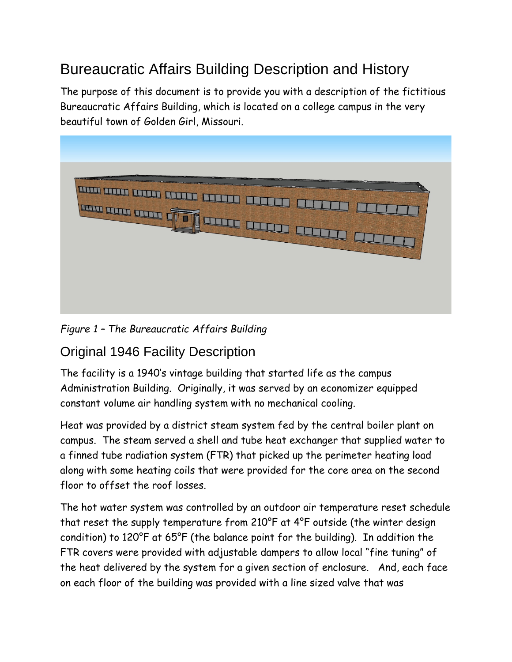# Bureaucratic Affairs Building Description and History

The purpose of this document is to provide you with a description of the fictitious Bureaucratic Affairs Building, which is located on a college campus in the very beautiful town of Golden Girl, Missouri.



*Figure 1 – The Bureaucratic Affairs Building*

#### Original 1946 Facility Description

The facility is a 1940's vintage building that started life as the campus Administration Building. Originally, it was served by an economizer equipped constant volume air handling system with no mechanical cooling.

Heat was provided by a district steam system fed by the central boiler plant on campus. The steam served a shell and tube heat exchanger that supplied water to a finned tube radiation system (FTR) that picked up the perimeter heating load along with some heating coils that were provided for the core area on the second floor to offset the roof losses.

The hot water system was controlled by an outdoor air temperature reset schedule that reset the supply temperature from 210°F at 4°F outside (the winter design condition) to 120°F at 65°F (the balance point for the building). In addition the FTR covers were provided with adjustable dampers to allow local "fine tuning" of the heat delivered by the system for a given section of enclosure. And, each face on each floor of the building was provided with a line sized valve that was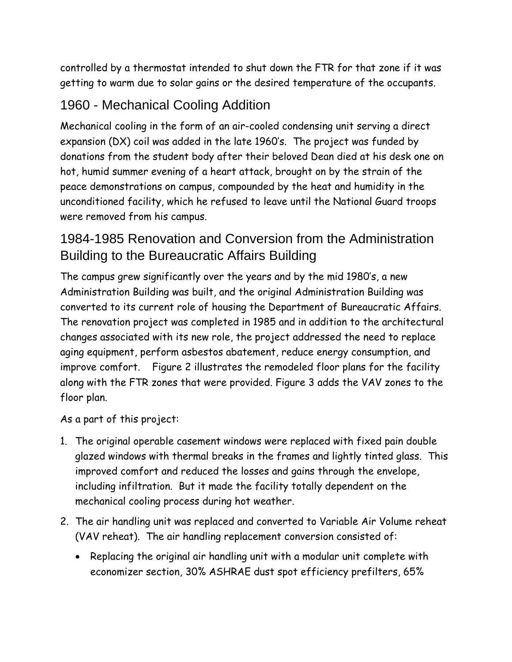controlled by a thermostat intended to shut down the FTR for that zone if it was getting to warm due to solar gains or the desired temperature of the occupants.

#### 1960 - Mechanical Cooling Addition

Mechanical cooling in the form of an air-cooled condensing unit serving a direct expansion (DX) coil was added in the late 1960's. The project was funded by donations from the student body after their beloved Dean died at his desk one on hot, humid summer evening of a heart attack, brought on by the strain of the peace demonstrations on campus, compounded by the heat and humidity in the unconditioned facility, which he refused to leave until the National Guard troops were removed from his campus.

## 1984-1985 Renovation and Conversion from the Administration Building to the Bureaucratic Affairs Building

The campus grew significantly over the years and by the mid 1980's, a new Administration Building was built, and the original Administration Building was converted to its current role of housing the Department of Bureaucratic Affairs. The renovation project was completed in 1985 and in addition to the architectural changes associated with its new role, the project addressed the need to replace aging equipment, perform asbestos abatement, reduce energy consumption, and improve comfort. [Figure 2](#page-2-0) illustrates the remodeled floor plans for the facility along with the FTR zones that were provided. [Figure 3](#page-3-0) adds the VAV zones to the floor plan.

As a part of this project:

- 1. The original operable casement windows were replaced with fixed pain double glazed windows with thermal breaks in the frames and lightly tinted glass. This improved comfort and reduced the losses and gains through the envelope, including infiltration. But it made the facility totally dependent on the mechanical cooling process during hot weather.
- 2. The air handling unit was replaced and converted to Variable Air Volume reheat (VAV reheat). The air handling replacement conversion consisted of:
	- Replacing the original air handling unit with a modular unit complete with economizer section, 30% ASHRAE dust spot efficiency prefilters, 65%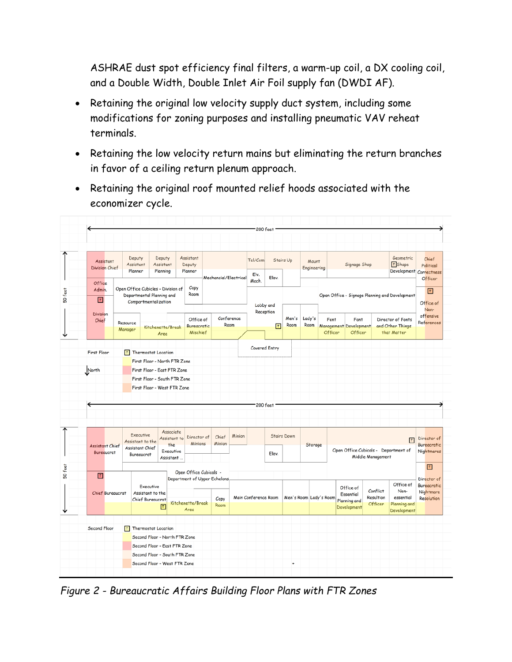ASHRAE dust spot efficiency final filters, a warm-up coil, a DX cooling coil, and a Double Width, Double Inlet Air Foil supply fan (DWDI AF).

- Retaining the original low velocity supply duct system, including some modifications for zoning purposes and installing pneumatic VAV reheat terminals.
- Retaining the low velocity return mains but eliminating the return branches in favor of a ceiling return plenum approach.
- Retaining the original roof mounted relief hoods associated with the economizer cycle.



<span id="page-2-0"></span>*Figure 2 - Bureaucratic Affairs Building Floor Plans with FTR Zones*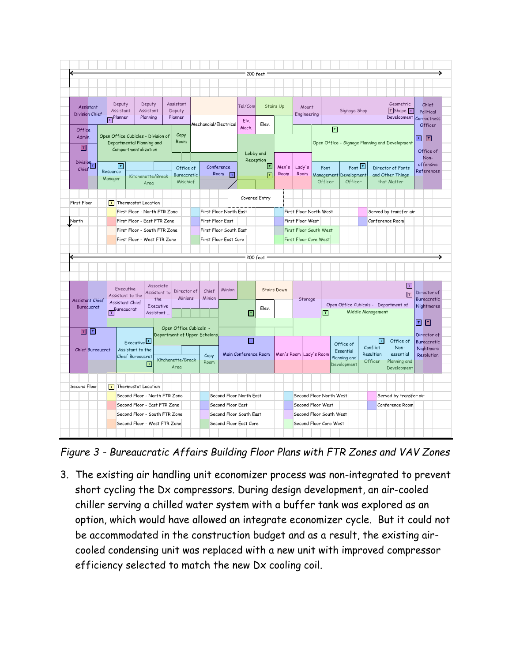|                         |                                              |                                                                                                                                                                                                        |                                                             |                                                               |        |                                |                         |                                            |                        |                                                   | 200 feet      |                  |                        |                                                                        |         |                                   |                                                           |      |                 |                        |                                 |                                            |            |                                 |         |
|-------------------------|----------------------------------------------|--------------------------------------------------------------------------------------------------------------------------------------------------------------------------------------------------------|-------------------------------------------------------------|---------------------------------------------------------------|--------|--------------------------------|-------------------------|--------------------------------------------|------------------------|---------------------------------------------------|---------------|------------------|------------------------|------------------------------------------------------------------------|---------|-----------------------------------|-----------------------------------------------------------|------|-----------------|------------------------|---------------------------------|--------------------------------------------|------------|---------------------------------|---------|
|                         |                                              |                                                                                                                                                                                                        |                                                             |                                                               |        |                                |                         |                                            |                        |                                                   |               |                  |                        |                                                                        |         |                                   |                                                           |      |                 |                        |                                 |                                            |            |                                 |         |
|                         |                                              |                                                                                                                                                                                                        |                                                             |                                                               |        |                                |                         |                                            |                        |                                                   |               |                  |                        |                                                                        |         |                                   |                                                           |      |                 |                        |                                 |                                            |            |                                 |         |
|                         |                                              |                                                                                                                                                                                                        |                                                             |                                                               |        |                                |                         |                                            |                        |                                                   |               |                  |                        |                                                                        |         |                                   |                                                           |      |                 |                        |                                 |                                            |            |                                 |         |
| Assistant               |                                              | Deputy<br>Deputy<br>Assistant<br>Assistant<br>Assistant                                                                                                                                                |                                                             |                                                               |        |                                |                         |                                            |                        |                                                   | Tel/Com       | <b>Stairs Up</b> |                        | Mount                                                                  |         |                                   |                                                           |      |                 | Geometric              |                                 |                                            |            |                                 | Chief   |
| <b>Division Chief</b>   |                                              | $T$ <sup>Planner</sup>                                                                                                                                                                                 |                                                             | Planning                                                      |        | Deputy<br>Planner              |                         |                                            |                        |                                                   |               |                  |                        | Engineering                                                            |         |                                   | Signage Shop                                              |      |                 |                        |                                 | $\sqrt{T}$ Shape $\sqrt{T}$<br>Development |            | Political<br>Correctness        |         |
|                         |                                              |                                                                                                                                                                                                        |                                                             |                                                               |        |                                |                         |                                            | Mechancial/Electrical  | Elv.<br>Mach.                                     | Elev.         |                  |                        |                                                                        |         |                                   |                                                           |      |                 |                        |                                 |                                            |            |                                 | Officer |
| <b>Office</b>           | Open Office Cubicles - Division of<br>Admin. |                                                                                                                                                                                                        |                                                             |                                                               | Copy   |                                |                         |                                            |                        |                                                   |               |                  |                        | $\boxed{\mathsf{T}}$<br>Open Office - Signage Planning and Development |         |                                   |                                                           |      |                 |                        |                                 |                                            |            |                                 |         |
|                         |                                              | Room<br>Departmental Planning and                                                                                                                                                                      |                                                             |                                                               |        |                                |                         |                                            |                        |                                                   |               |                  |                        |                                                                        |         |                                   |                                                           |      |                 |                        |                                 |                                            | ▔▏▏▔       |                                 |         |
| 冋                       |                                              |                                                                                                                                                                                                        | Compartmentalization                                        |                                                               |        |                                |                         |                                            |                        |                                                   | Lobby and     |                  |                        |                                                                        |         |                                   |                                                           |      |                 |                        |                                 |                                            |            | Office of                       |         |
|                         |                                              |                                                                                                                                                                                                        |                                                             |                                                               |        |                                |                         |                                            |                        |                                                   | Reception     |                  |                        |                                                                        |         |                                   |                                                           |      |                 |                        |                                 |                                            |            | Non-<br>offensive               |         |
| Division<br>Chief       |                                              | $\overline{\mathbf{r}}$<br>Resource                                                                                                                                                                    |                                                             |                                                               |        | Office of                      | Conference<br>Room<br>F |                                            |                        |                                                   |               | $ \tau $         | Men's                  | Lady's                                                                 |         | Font                              |                                                           | Font |                 |                        |                                 | Director of Fonts                          |            | References                      |         |
|                         |                                              | Manager                                                                                                                                                                                                | Kitchenette/Break                                           |                                                               |        | <b>Bureacratic</b><br>Mischief |                         |                                            |                        |                                                   | п             | Room             | Room                   |                                                                        | Officer | Management Development<br>Officer |                                                           |      |                 |                        | and Other Things<br>that Matter |                                            |            |                                 |         |
|                         |                                              |                                                                                                                                                                                                        |                                                             | Area                                                          |        |                                |                         |                                            |                        |                                                   |               |                  |                        |                                                                        |         |                                   |                                                           |      |                 |                        |                                 |                                            |            |                                 |         |
|                         |                                              |                                                                                                                                                                                                        |                                                             |                                                               |        |                                |                         |                                            |                        |                                                   | Covered Entry |                  |                        |                                                                        |         |                                   |                                                           |      |                 |                        |                                 |                                            |            |                                 |         |
| First Floor             |                                              |                                                                                                                                                                                                        |                                                             | $\boxed{\mathbf{T}}$ Thermostat Location                      |        |                                |                         |                                            |                        |                                                   |               |                  |                        |                                                                        |         |                                   |                                                           |      |                 |                        |                                 |                                            |            |                                 |         |
|                         |                                              |                                                                                                                                                                                                        | First Floor - North FTR Zone                                |                                                               |        |                                |                         |                                            | First Floor North East |                                                   |               |                  |                        | First Floor North West                                                 |         |                                   |                                                           |      |                 | Served by transfer air |                                 |                                            |            |                                 |         |
| North                   |                                              |                                                                                                                                                                                                        | First Floor - East FTR Zone<br>First Floor - South FTR Zone |                                                               |        |                                |                         | First Floor East<br>First Floor South East |                        |                                                   |               |                  |                        | First Floor West                                                       |         |                                   |                                                           |      | Conference Room |                        |                                 |                                            |            |                                 |         |
|                         |                                              |                                                                                                                                                                                                        |                                                             |                                                               |        |                                |                         |                                            |                        |                                                   |               |                  |                        | First Floor South West                                                 |         |                                   |                                                           |      |                 |                        |                                 |                                            |            |                                 |         |
|                         |                                              |                                                                                                                                                                                                        |                                                             | First Floor - West FTR Zone                                   |        |                                |                         |                                            | First Floor East Core  |                                                   |               |                  |                        | <b>First Floor Core West</b>                                           |         |                                   |                                                           |      |                 |                        |                                 |                                            |            |                                 |         |
|                         |                                              |                                                                                                                                                                                                        |                                                             |                                                               |        |                                |                         |                                            |                        |                                                   |               |                  |                        |                                                                        |         |                                   |                                                           |      |                 |                        |                                 |                                            |            |                                 |         |
|                         |                                              |                                                                                                                                                                                                        |                                                             |                                                               |        |                                |                         |                                            |                        |                                                   | 200 feet      |                  |                        |                                                                        |         |                                   |                                                           |      |                 |                        |                                 |                                            |            |                                 |         |
|                         |                                              |                                                                                                                                                                                                        |                                                             |                                                               |        |                                |                         |                                            |                        |                                                   |               |                  |                        |                                                                        |         |                                   |                                                           |      |                 |                        |                                 |                                            |            |                                 |         |
|                         |                                              |                                                                                                                                                                                                        |                                                             |                                                               |        |                                |                         |                                            |                        |                                                   |               |                  |                        |                                                                        |         |                                   |                                                           |      |                 |                        |                                 |                                            |            |                                 |         |
|                         |                                              | Associate<br><b>Executive</b><br>Director of<br>Assistant to<br>Assistant to the<br>Minions<br>the<br><b>Assistant Chief</b><br><b>Executive</b><br>Bureaucrat<br>$\overline{\mathbf{r}}$<br>Assistant |                                                             |                                                               |        | Minion<br>Chief                |                         |                                            |                        | <b>Stairs Down</b>                                |               |                  |                        |                                                                        |         |                                   |                                                           |      |                 |                        | 同                               | Director of                                |            |                                 |         |
| <b>Assistant Chief</b>  |                                              |                                                                                                                                                                                                        |                                                             |                                                               | Minion |                                |                         |                                            |                        |                                                   |               | Storage          |                        |                                                                        |         |                                   |                                                           |      |                 |                        | 同                               | <b>Bureacratic</b>                         |            |                                 |         |
| Bureaucrat              |                                              |                                                                                                                                                                                                        |                                                             |                                                               |        |                                |                         |                                            |                        | Elev.                                             |               |                  |                        |                                                                        |         |                                   | Open Office Cubicals - Department of<br>Middle Management |      |                 |                        |                                 |                                            | Nightmares |                                 |         |
|                         |                                              |                                                                                                                                                                                                        |                                                             |                                                               |        |                                |                         |                                            |                        | ਜ                                                 |               |                  |                        |                                                                        |         | 曱                                 |                                                           |      |                 |                        |                                 |                                            |            |                                 |         |
|                         |                                              |                                                                                                                                                                                                        |                                                             |                                                               |        | Open Office Cubicals           |                         |                                            |                        |                                                   |               |                  |                        |                                                                        |         |                                   |                                                           |      |                 |                        |                                 |                                            |            | ⊡ ⊡                             |         |
|                         |                                              |                                                                                                                                                                                                        |                                                             |                                                               |        |                                |                         |                                            |                        |                                                   |               |                  |                        |                                                                        |         |                                   |                                                           |      |                 |                        |                                 |                                            |            | Director of                     |         |
| 回回                      |                                              |                                                                                                                                                                                                        |                                                             |                                                               |        | Department of Upper Echelons   |                         |                                            |                        |                                                   |               |                  |                        |                                                                        |         |                                   | Office of                                                 |      |                 |                        | $\lceil r \rceil$               | Office of                                  |            | <b>Bureacratic</b><br>Nightmare |         |
|                         |                                              |                                                                                                                                                                                                        | Executive <sup>T</sup>                                      |                                                               |        |                                |                         |                                            |                        | $\mathbf{r}$                                      |               |                  |                        |                                                                        |         |                                   |                                                           |      |                 |                        |                                 |                                            |            |                                 |         |
| <b>Chief Bureaucrat</b> |                                              |                                                                                                                                                                                                        | Assistant to the                                            |                                                               |        |                                | Copy                    |                                            |                        | Main Conference Room                              |               |                  | Men's Room Lady's Room |                                                                        |         |                                   | Essential                                                 |      |                 | Conflict<br>Resultion  |                                 | Non-<br>essential                          |            | Resolution                      |         |
|                         |                                              |                                                                                                                                                                                                        | <b>Chief Bureaucrat</b>                                     | ℾ                                                             |        | Kitchenette/Break              | Room                    |                                            |                        |                                                   |               |                  |                        |                                                                        |         |                                   | Planning and<br>Development                               |      |                 | Officer                |                                 | Planning and                               |            |                                 |         |
|                         |                                              |                                                                                                                                                                                                        |                                                             |                                                               |        | Area                           |                         |                                            |                        |                                                   |               |                  |                        |                                                                        |         |                                   |                                                           |      |                 |                        |                                 | Development                                |            |                                 |         |
|                         |                                              |                                                                                                                                                                                                        |                                                             |                                                               |        |                                |                         |                                            |                        |                                                   |               |                  |                        |                                                                        |         |                                   |                                                           |      |                 |                        |                                 |                                            |            |                                 |         |
|                         |                                              |                                                                                                                                                                                                        |                                                             | $T$ Thermostat Location                                       |        |                                |                         |                                            |                        |                                                   |               |                  |                        |                                                                        |         |                                   |                                                           |      |                 |                        |                                 |                                            |            |                                 |         |
| Second Floor            |                                              |                                                                                                                                                                                                        |                                                             | Second Floor - North FTR Zone                                 |        |                                |                         |                                            |                        | Second Floor North East                           |               |                  |                        | Second Floor North West                                                |         |                                   |                                                           |      |                 |                        |                                 | Served by transfer air                     |            |                                 |         |
|                         |                                              |                                                                                                                                                                                                        |                                                             | Second Floor - East FTR Zone                                  |        |                                |                         |                                            | Second Floor East      |                                                   |               |                  |                        | Second Floor West                                                      |         |                                   |                                                           |      |                 |                        |                                 | Conference Room                            |            |                                 |         |
|                         |                                              |                                                                                                                                                                                                        |                                                             | Second Floor - South FTR Zone<br>Second Floor - West FTR Zone |        |                                |                         |                                            |                        | Second Floor South East<br>Second Floor East Core |               |                  |                        | Second Floor South West<br>Second Floor Core West                      |         |                                   |                                                           |      |                 |                        |                                 |                                            |            |                                 |         |

<span id="page-3-0"></span>*Figure 3 - Bureaucratic Affairs Building Floor Plans with FTR Zones and VAV Zones*

3. The existing air handling unit economizer process was non-integrated to prevent short cycling the Dx compressors. During design development, an air-cooled chiller serving a chilled water system with a buffer tank was explored as an option, which would have allowed an integrate economizer cycle. But it could not be accommodated in the construction budget and as a result, the existing aircooled condensing unit was replaced with a new unit with improved compressor efficiency selected to match the new Dx cooling coil.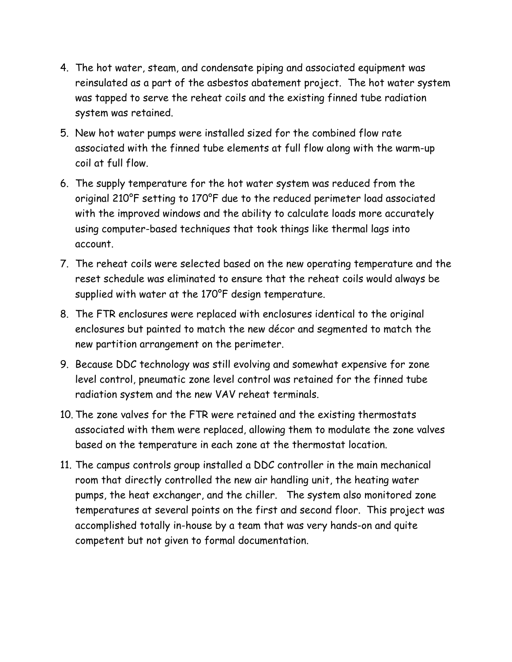- 4. The hot water, steam, and condensate piping and associated equipment was reinsulated as a part of the asbestos abatement project. The hot water system was tapped to serve the reheat coils and the existing finned tube radiation system was retained.
- 5. New hot water pumps were installed sized for the combined flow rate associated with the finned tube elements at full flow along with the warm-up coil at full flow.
- 6. The supply temperature for the hot water system was reduced from the original 210°F setting to 170°F due to the reduced perimeter load associated with the improved windows and the ability to calculate loads more accurately using computer-based techniques that took things like thermal lags into account.
- 7. The reheat coils were selected based on the new operating temperature and the reset schedule was eliminated to ensure that the reheat coils would always be supplied with water at the 170°F design temperature.
- 8. The FTR enclosures were replaced with enclosures identical to the original enclosures but painted to match the new décor and segmented to match the new partition arrangement on the perimeter.
- 9. Because DDC technology was still evolving and somewhat expensive for zone level control, pneumatic zone level control was retained for the finned tube radiation system and the new VAV reheat terminals.
- 10. The zone valves for the FTR were retained and the existing thermostats associated with them were replaced, allowing them to modulate the zone valves based on the temperature in each zone at the thermostat location.
- 11. The campus controls group installed a DDC controller in the main mechanical room that directly controlled the new air handling unit, the heating water pumps, the heat exchanger, and the chiller. The system also monitored zone temperatures at several points on the first and second floor. This project was accomplished totally in-house by a team that was very hands-on and quite competent but not given to formal documentation.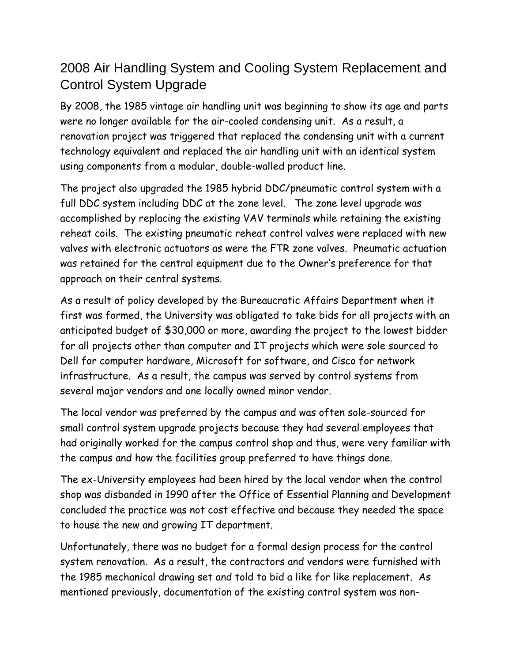### 2008 Air Handling System and Cooling System Replacement and Control System Upgrade

By 2008, the 1985 vintage air handling unit was beginning to show its age and parts were no longer available for the air-cooled condensing unit. As a result, a renovation project was triggered that replaced the condensing unit with a current technology equivalent and replaced the air handling unit with an identical system using components from a modular, double-walled product line.

The project also upgraded the 1985 hybrid DDC/pneumatic control system with a full DDC system including DDC at the zone level. The zone level upgrade was accomplished by replacing the existing VAV terminals while retaining the existing reheat coils. The existing pneumatic reheat control valves were replaced with new valves with electronic actuators as were the FTR zone valves. Pneumatic actuation was retained for the central equipment due to the Owner's preference for that approach on their central systems.

As a result of policy developed by the Bureaucratic Affairs Department when it first was formed, the University was obligated to take bids for all projects with an anticipated budget of \$30,000 or more, awarding the project to the lowest bidder for all projects other than computer and IT projects which were sole sourced to Dell for computer hardware, Microsoft for software, and Cisco for network infrastructure. As a result, the campus was served by control systems from several major vendors and one locally owned minor vendor.

The local vendor was preferred by the campus and was often sole-sourced for small control system upgrade projects because they had several employees that had originally worked for the campus control shop and thus, were very familiar with the campus and how the facilities group preferred to have things done.

The ex-University employees had been hired by the local vendor when the control shop was disbanded in 1990 after the Office of Essential Planning and Development concluded the practice was not cost effective and because they needed the space to house the new and growing IT department.

Unfortunately, there was no budget for a formal design process for the control system renovation. As a result, the contractors and vendors were furnished with the 1985 mechanical drawing set and told to bid a like for like replacement. As mentioned previously, documentation of the existing control system was non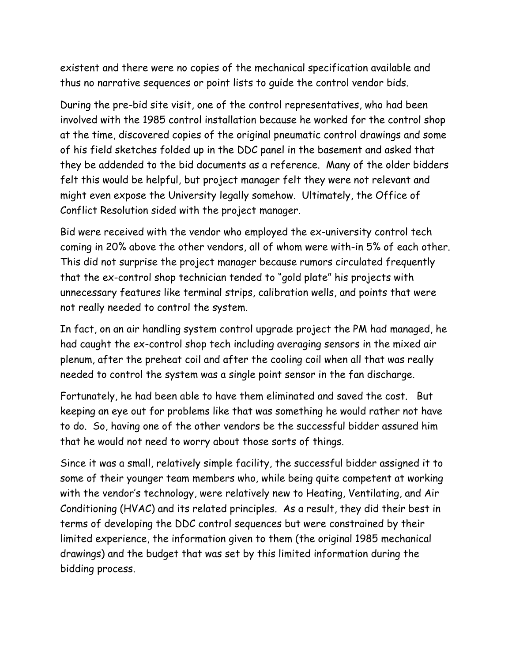existent and there were no copies of the mechanical specification available and thus no narrative sequences or point lists to guide the control vendor bids.

During the pre-bid site visit, one of the control representatives, who had been involved with the 1985 control installation because he worked for the control shop at the time, discovered copies of the original pneumatic control drawings and some of his field sketches folded up in the DDC panel in the basement and asked that they be addended to the bid documents as a reference. Many of the older bidders felt this would be helpful, but project manager felt they were not relevant and might even expose the University legally somehow. Ultimately, the Office of Conflict Resolution sided with the project manager.

Bid were received with the vendor who employed the ex-university control tech coming in 20% above the other vendors, all of whom were with-in 5% of each other. This did not surprise the project manager because rumors circulated frequently that the ex-control shop technician tended to "gold plate" his projects with unnecessary features like terminal strips, calibration wells, and points that were not really needed to control the system.

In fact, on an air handling system control upgrade project the PM had managed, he had caught the ex-control shop tech including averaging sensors in the mixed air plenum, after the preheat coil and after the cooling coil when all that was really needed to control the system was a single point sensor in the fan discharge.

Fortunately, he had been able to have them eliminated and saved the cost. But keeping an eye out for problems like that was something he would rather not have to do. So, having one of the other vendors be the successful bidder assured him that he would not need to worry about those sorts of things.

Since it was a small, relatively simple facility, the successful bidder assigned it to some of their younger team members who, while being quite competent at working with the vendor's technology, were relatively new to Heating, Ventilating, and Air Conditioning (HVAC) and its related principles. As a result, they did their best in terms of developing the DDC control sequences but were constrained by their limited experience, the information given to them (the original 1985 mechanical drawings) and the budget that was set by this limited information during the bidding process.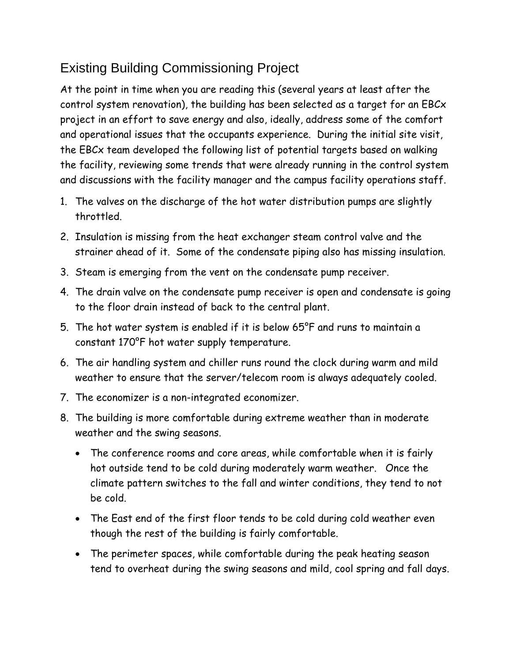## Existing Building Commissioning Project

At the point in time when you are reading this (several years at least after the control system renovation), the building has been selected as a target for an EBCx project in an effort to save energy and also, ideally, address some of the comfort and operational issues that the occupants experience. During the initial site visit, the EBCx team developed the following list of potential targets based on walking the facility, reviewing some trends that were already running in the control system and discussions with the facility manager and the campus facility operations staff.

- 1. The valves on the discharge of the hot water distribution pumps are slightly throttled.
- 2. Insulation is missing from the heat exchanger steam control valve and the strainer ahead of it. Some of the condensate piping also has missing insulation.
- 3. Steam is emerging from the vent on the condensate pump receiver.
- 4. The drain valve on the condensate pump receiver is open and condensate is going to the floor drain instead of back to the central plant.
- 5. The hot water system is enabled if it is below 65°F and runs to maintain a constant 170°F hot water supply temperature.
- 6. The air handling system and chiller runs round the clock during warm and mild weather to ensure that the server/telecom room is always adequately cooled.
- 7. The economizer is a non-integrated economizer.
- 8. The building is more comfortable during extreme weather than in moderate weather and the swing seasons.
	- The conference rooms and core areas, while comfortable when it is fairly hot outside tend to be cold during moderately warm weather. Once the climate pattern switches to the fall and winter conditions, they tend to not be cold.
	- The East end of the first floor tends to be cold during cold weather even though the rest of the building is fairly comfortable.
	- The perimeter spaces, while comfortable during the peak heating season tend to overheat during the swing seasons and mild, cool spring and fall days.